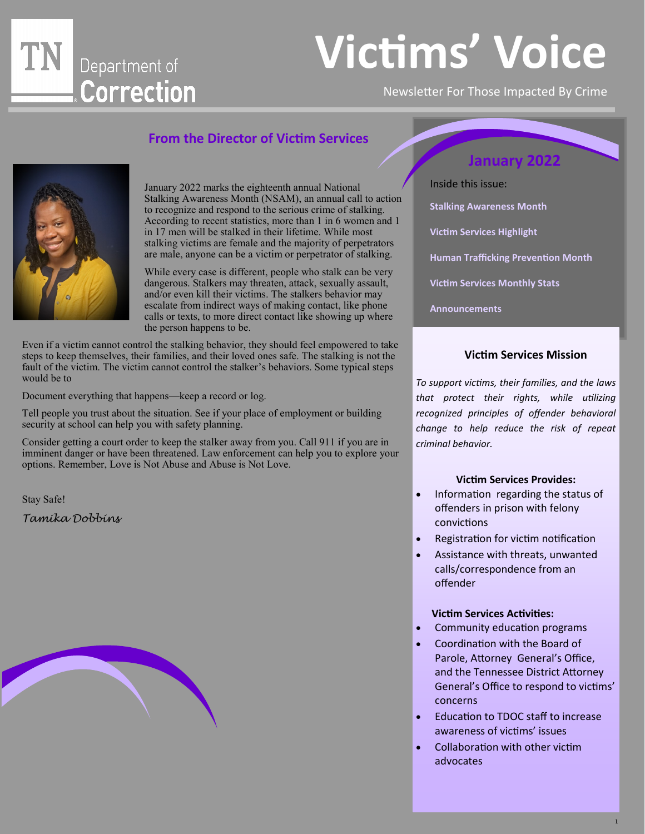## Department of Correction

## **Victims' Voice**

Newsletter For Those Impacted By Crime

#### **From the Director of Victim Services**



January 2022 marks the eighteenth annual National Stalking Awareness Month (NSAM), an annual call to action to recognize and respond to the serious crime of stalking. According to recent statistics, more than 1 in 6 women and 1 in 17 men will be stalked in their lifetime. While most stalking victims are female and the majority of perpetrators are male, anyone can be a victim or perpetrator of stalking.

While every case is different, people who stalk can be very dangerous. Stalkers may threaten, attack, sexually assault, and/or even kill their victims. The stalkers behavior may escalate from indirect ways of making contact, like phone calls or texts, to more direct contact like showing up where the person happens to be.

Even if a victim cannot control the stalking behavior, they should feel empowered to take steps to keep themselves, their families, and their loved ones safe. The stalking is not the fault of the victim. The victim cannot control the stalker's behaviors. Some typical steps would be to

Document everything that happens—keep a record or log.

Tell people you trust about the situation. See if your place of employment or building security at school can help you with safety planning.

Consider getting a court order to keep the stalker away from you. Call 911 if you are in imminent danger or have been threatened. Law enforcement can help you to explore your options. Remember, Love is Not Abuse and Abuse is Not Love.

Stay Safe!

*Tamika Dobbins*



Inside this issue: **Stalking Awareness Month Victim Services Highlight Human Trafficking Prevention Month Victim Services Monthly Stats Announcements** 

#### **Victim Services Mission**

*To support victims, their families, and the laws that protect their rights, while utilizing recognized principles of offender behavioral change to help reduce the risk of repeat criminal behavior.* 

#### **Victim Services Provides:**

- Information regarding the status of offenders in prison with felony convictions
- Registration for victim notification
- Assistance with threats, unwanted calls/correspondence from an offender

#### **Victim Services Activities:**

- Community education programs
- Coordination with the Board of Parole, Attorney General's Office, and the Tennessee District Attorney General's Office to respond to victims' concerns
- Education to TDOC staff to increase awareness of victims' issues
- Collaboration with other victim advocates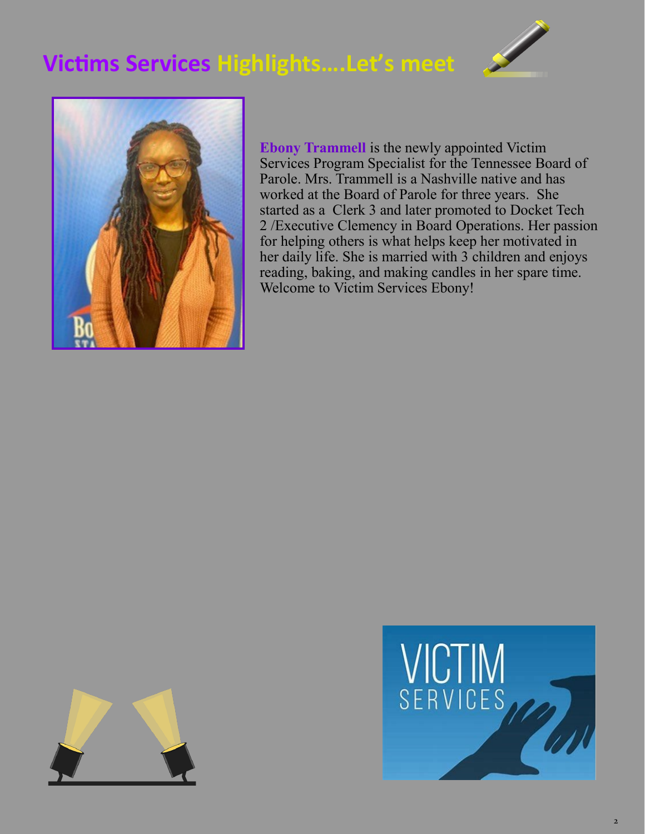### **Victims Services Highlights….Let's meet**





**Ebony Trammell** is the newly appointed Victim Services Program Specialist for the Tennessee Board of Parole. Mrs. Trammell is a Nashville native and has worked at the Board of Parole for three years. She started as a Clerk 3 and later promoted to Docket Tech 2 /Executive Clemency in Board Operations. Her passion for helping others is what helps keep her motivated in her daily life. She is married with 3 children and enjoys reading, baking, and making candles in her spare time. Welcome to Victim Services Ebony!



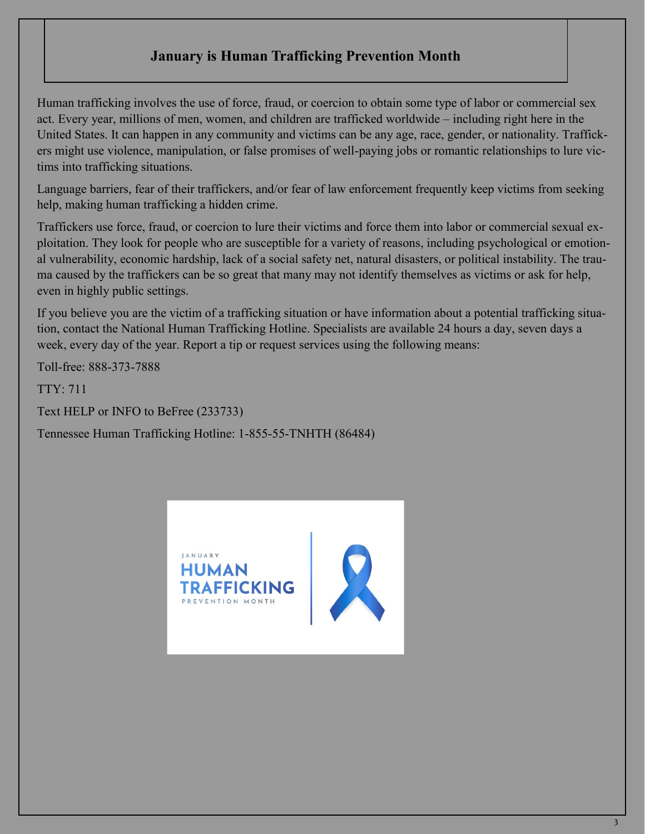#### **January is Human Trafficking Prevention Month**

Human trafficking involves the use of force, fraud, or coercion to obtain some type of labor or commercial sex act. Every year, millions of men, women, and children are trafficked worldwide – including right here in the United States. It can happen in any community and victims can be any age, race, gender, or nationality. Traffickers might use violence, manipulation, or false promises of well-paying jobs or romantic relationships to lure victims into trafficking situations.

Language barriers, fear of their traffickers, and/or fear of law enforcement frequently keep victims from seeking help, making human trafficking a hidden crime.

Traffickers use force, fraud, or coercion to lure their victims and force them into labor or commercial sexual exploitation. They look for people who are susceptible for a variety of reasons, including psychological or emotional vulnerability, economic hardship, lack of a social safety net, natural disasters, or political instability. The trauma caused by the traffickers can be so great that many may not identify themselves as victims or ask for help, even in highly public settings.

If you believe you are the victim of a trafficking situation or have information about a potential trafficking situation, contact the National Human Trafficking Hotline. Specialists are available 24 hours a day, seven days a week, every day of the year. Report a tip or request services using the following means:

Toll-free: 888-373-7888

TTY: 711

Text HELP or INFO to BeFree (233733)

Tennessee Human Trafficking Hotline: 1-855-55-TNHTH (86484)

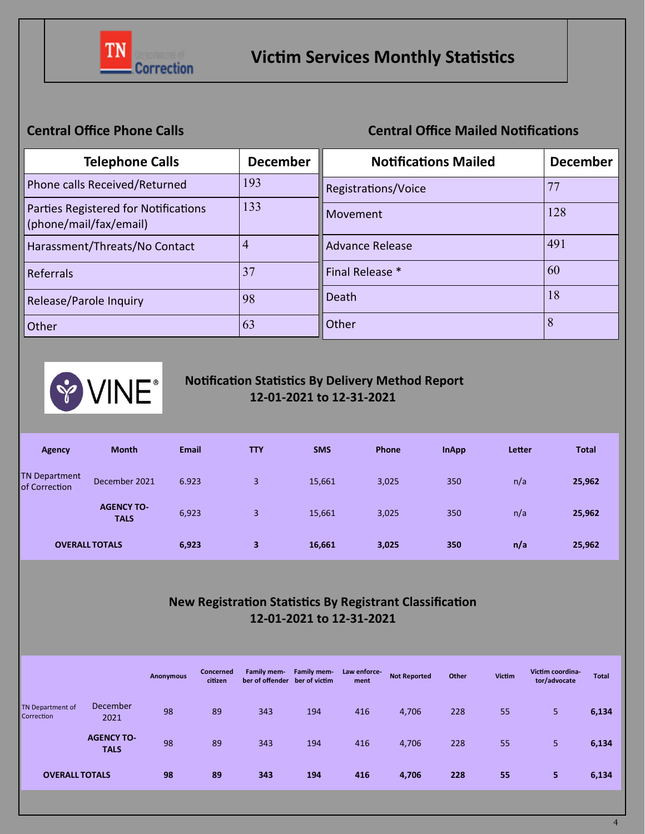

#### **Central Office Phone Calls** Central Office Mailed Notifications

| <b>Telephone Calls</b>                                         | <b>December</b> | <b>Notifications Mailed</b> | <b>December</b> |
|----------------------------------------------------------------|-----------------|-----------------------------|-----------------|
| Phone calls Received/Returned                                  | 193             | Registrations/Voice         | 77              |
| Parties Registered for Notifications<br>(phone/mail/fax/email) | 133             | Movement                    | 128             |
| Harassment/Threats/No Contact                                  | $\overline{4}$  | <b>Advance Release</b>      | 491             |
| Referrals                                                      | 37              | Final Release *             | 60              |
| Release/Parole Inquiry                                         | 98              | Death                       | 18              |
| Other                                                          | 63              | Other                       | 8               |



#### **Notification Statistics By Delivery Method Report 12-01-2021 to 12-31-2021**

| Agency                                | <b>Month</b>                     | <b>Email</b> | <b>TTY</b> | <b>SMS</b> | Phone | <b>InApp</b> | Letter | <b>Total</b> |
|---------------------------------------|----------------------------------|--------------|------------|------------|-------|--------------|--------|--------------|
| <b>TN Department</b><br>of Correction | December 2021                    | 6.923        | 3          | 15,661     | 3,025 | 350          | n/a    | 25,962       |
|                                       | <b>AGENCY TO-</b><br><b>TALS</b> | 6,923        | 3          | 15,661     | 3,025 | 350          | n/a    | 25,962       |
| <b>OVERALL TOTALS</b>                 |                                  | 6,923        | 3          | 16,661     | 3,025 | 350          | n/a    | 25,962       |

#### **New Registration Statistics By Registrant Classification 12-01-2021 to 12-31-2021**

|                                |                                  | Anonymous | Concerned<br>citizen | <b>Family mem-</b><br>ber of offender ber of victim | Family mem- | Law enforce-<br>ment | <b>Not Reported</b> | Other | <b>Victim</b> | Victim coordina-<br>tor/advocate | <b>Total</b> |
|--------------------------------|----------------------------------|-----------|----------------------|-----------------------------------------------------|-------------|----------------------|---------------------|-------|---------------|----------------------------------|--------------|
| TN Department of<br>Correction | December<br>2021                 | 98        | 89                   | 343                                                 | 194         | 416                  | 4,706               | 228   | 55            | 5                                | 6,134        |
|                                | <b>AGENCY TO-</b><br><b>TALS</b> | 98        | 89                   | 343                                                 | 194         | 416                  | 4,706               | 228   | 55            | 5                                | 6,134        |
| <b>OVERALL TOTALS</b>          |                                  | 98        | 89                   | 343                                                 | 194         | 416                  | 4,706               | 228   | 55            | 5                                | 6,134        |